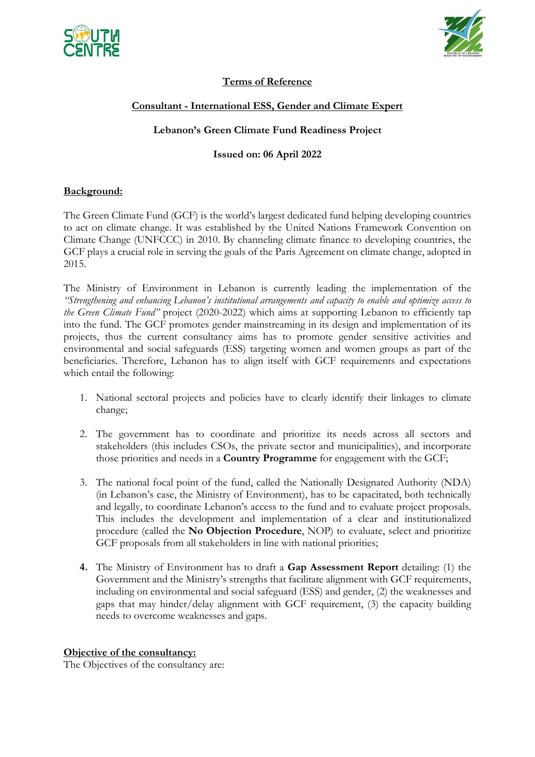



## **Terms of Reference**

# **Consultant - International ESS, Gender and Climate Expert**

### **Lebanon's Green Climate Fund Readiness Project**

#### **Issued on: 06 April 2022**

#### **Background:**

The Green Climate Fund (GCF) is the world's largest dedicated fund helping developing countries to act on climate change. It was established by the United Nations Framework Convention on Climate Change (UNFCCC) in 2010. By channeling climate finance to developing countries, the GCF plays a crucial role in serving the goals of the Paris Agreement on climate change, adopted in 2015.

The Ministry of Environment in Lebanon is currently leading the implementation of the *"Strengthening and enhancing Lebanon's institutional arrangements and capacity to enable and optimize access to the Green Climate Fund"* project (2020-2022) which aims at supporting Lebanon to efficiently tap into the fund. The GCF promotes gender mainstreaming in its design and implementation of its projects, thus the current consultancy aims has to promote gender sensitive activities and environmental and social safeguards (ESS) targeting women and women groups as part of the beneficiaries. Therefore, Lebanon has to align itself with GCF requirements and expectations which entail the following:

- 1. National sectoral projects and policies have to clearly identify their linkages to climate change;
- 2. The government has to coordinate and prioritize its needs across all sectors and stakeholders (this includes CSOs, the private sector and municipalities), and incorporate those priorities and needs in a **Country Programme** for engagement with the GCF;
- 3. The national focal point of the fund, called the Nationally Designated Authority (NDA) (in Lebanon's case, the Ministry of Environment), has to be capacitated, both technically and legally, to coordinate Lebanon's access to the fund and to evaluate project proposals. This includes the development and implementation of a clear and institutionalized procedure (called the **No Objection Procedure**, NOP) to evaluate, select and prioritize GCF proposals from all stakeholders in line with national priorities;
- **4.** The Ministry of Environment has to draft a **Gap Assessment Report** detailing: (1) the Government and the Ministry's strengths that facilitate alignment with GCF requirements, including on environmental and social safeguard (ESS) and gender, (2) the weaknesses and gaps that may hinder/delay alignment with GCF requirement, (3) the capacity building needs to overcome weaknesses and gaps.

#### **Objective of the consultancy:**

The Objectives of the consultancy are: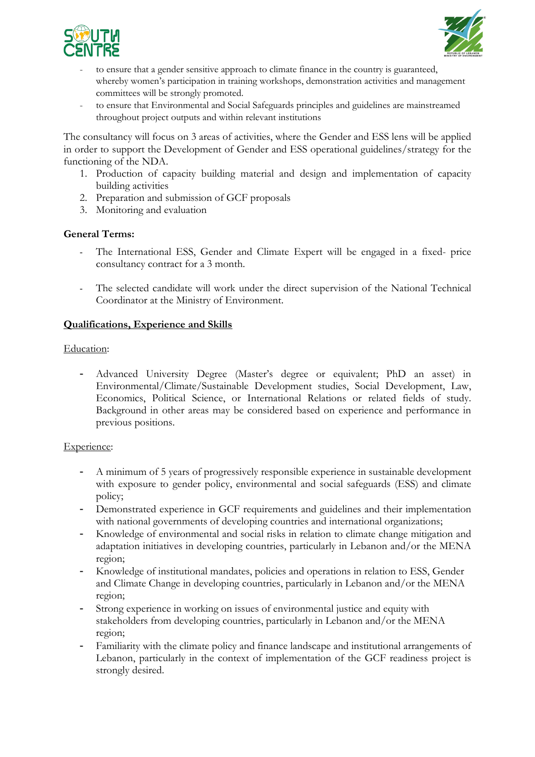



- to ensure that a gender sensitive approach to climate finance in the country is guaranteed, whereby women's participation in training workshops, demonstration activities and management committees will be strongly promoted.
- to ensure that Environmental and Social Safeguards principles and guidelines are mainstreamed throughout project outputs and within relevant institutions

The consultancy will focus on 3 areas of activities, where the Gender and ESS lens will be applied in order to support the Development of Gender and ESS operational guidelines/strategy for the functioning of the NDA.

- 1. Production of capacity building material and design and implementation of capacity building activities
- 2. Preparation and submission of GCF proposals
- 3. Monitoring and evaluation

### **General Terms:**

- The International ESS, Gender and Climate Expert will be engaged in a fixed- price consultancy contract for a 3 month.
- The selected candidate will work under the direct supervision of the National Technical Coordinator at the Ministry of Environment.

#### **Qualifications, Experience and Skills**

Education:

- Advanced University Degree (Master's degree or equivalent; PhD an asset) in Environmental/Climate/Sustainable Development studies, Social Development, Law, Economics, Political Science, or International Relations or related fields of study. Background in other areas may be considered based on experience and performance in previous positions.

#### Experience:

- A minimum of 5 years of progressively responsible experience in sustainable development with exposure to gender policy, environmental and social safeguards (ESS) and climate policy;
- Demonstrated experience in GCF requirements and guidelines and their implementation with national governments of developing countries and international organizations;
- Knowledge of environmental and social risks in relation to climate change mitigation and adaptation initiatives in developing countries, particularly in Lebanon and/or the MENA region;
- Knowledge of institutional mandates, policies and operations in relation to ESS, Gender and Climate Change in developing countries, particularly in Lebanon and/or the MENA region;
- Strong experience in working on issues of environmental justice and equity with stakeholders from developing countries, particularly in Lebanon and/or the MENA region;
- Familiarity with the climate policy and finance landscape and institutional arrangements of Lebanon, particularly in the context of implementation of the GCF readiness project is strongly desired.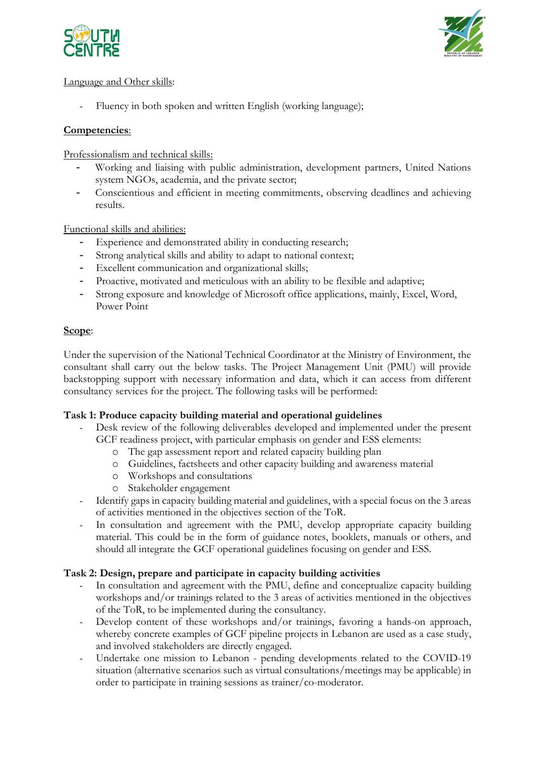



#### Language and Other skills:

Fluency in both spoken and written English (working language);

### **Competencies**:

Professionalism and technical skills:

- Working and liaising with public administration, development partners, United Nations system NGOs, academia, and the private sector;
- Conscientious and efficient in meeting commitments, observing deadlines and achieving results.

Functional skills and abilities:

- Experience and demonstrated ability in conducting research;
- Strong analytical skills and ability to adapt to national context;
- Excellent communication and organizational skills;
- Proactive, motivated and meticulous with an ability to be flexible and adaptive;
- Strong exposure and knowledge of Microsoft office applications, mainly, Excel, Word, Power Point

## **Scope**:

Under the supervision of the National Technical Coordinator at the Ministry of Environment, the consultant shall carry out the below tasks. The Project Management Unit (PMU) will provide backstopping support with necessary information and data, which it can access from different consultancy services for the project. The following tasks will be performed:

### **Task 1: Produce capacity building material and operational guidelines**

- Desk review of the following deliverables developed and implemented under the present GCF readiness project, with particular emphasis on gender and ESS elements:
	- o The gap assessment report and related capacity building plan
	- o Guidelines, factsheets and other capacity building and awareness material
	- o Workshops and consultations
	- o Stakeholder engagement
- Identify gaps in capacity building material and guidelines, with a special focus on the 3 areas of activities mentioned in the objectives section of the ToR.
- In consultation and agreement with the PMU, develop appropriate capacity building material. This could be in the form of guidance notes, booklets, manuals or others, and should all integrate the GCF operational guidelines focusing on gender and ESS.

### **Task 2: Design, prepare and participate in capacity building activities**

- In consultation and agreement with the PMU, define and conceptualize capacity building workshops and/or trainings related to the 3 areas of activities mentioned in the objectives of the ToR, to be implemented during the consultancy.
- Develop content of these workshops and/or trainings, favoring a hands-on approach, whereby concrete examples of GCF pipeline projects in Lebanon are used as a case study, and involved stakeholders are directly engaged.
- Undertake one mission to Lebanon pending developments related to the COVID-19 situation (alternative scenarios such as virtual consultations/meetings may be applicable) in order to participate in training sessions as trainer/co-moderator.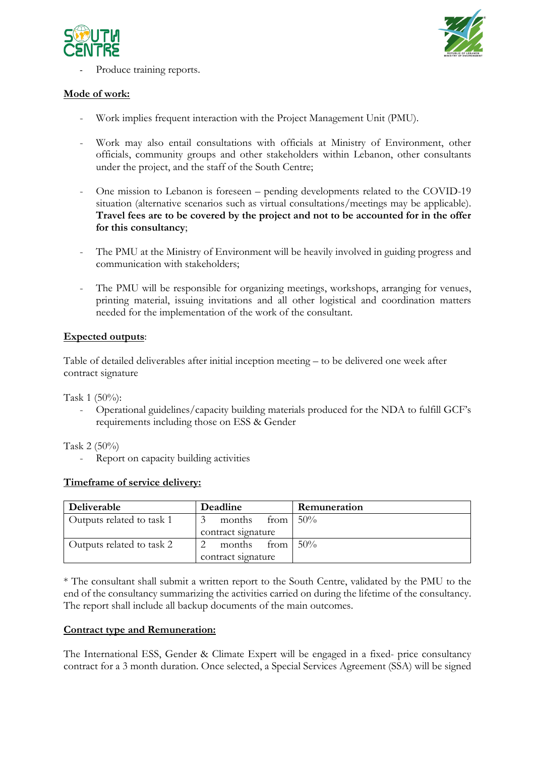

Produce training reports.

# **Mode of work:**

- Work implies frequent interaction with the Project Management Unit (PMU).
- Work may also entail consultations with officials at Ministry of Environment, other officials, community groups and other stakeholders within Lebanon, other consultants under the project, and the staff of the South Centre;
- One mission to Lebanon is foreseen pending developments related to the COVID-19 situation (alternative scenarios such as virtual consultations/meetings may be applicable). **Travel fees are to be covered by the project and not to be accounted for in the offer for this consultancy**;
- The PMU at the Ministry of Environment will be heavily involved in guiding progress and communication with stakeholders;
- The PMU will be responsible for organizing meetings, workshops, arranging for venues, printing material, issuing invitations and all other logistical and coordination matters needed for the implementation of the work of the consultant.

## **Expected outputs**:

Table of detailed deliverables after initial inception meeting – to be delivered one week after contract signature

Task 1 (50%):

- Operational guidelines/capacity building materials produced for the NDA to fulfill GCF's requirements including those on ESS & Gender

Task 2 (50%)

- Report on capacity building activities

# **Timeframe of service delivery:**

| Deliverable               | Deadline           | Remuneration |
|---------------------------|--------------------|--------------|
| Outputs related to task 1 | months<br>from     | $50\%$       |
|                           | contract signature |              |
| Outputs related to task 2 | months<br>from     | $50\%$       |
|                           | contract signature |              |

\* The consultant shall submit a written report to the South Centre, validated by the PMU to the end of the consultancy summarizing the activities carried on during the lifetime of the consultancy. The report shall include all backup documents of the main outcomes.

# **Contract type and Remuneration:**

The International ESS, Gender & Climate Expert will be engaged in a fixed- price consultancy contract for a 3 month duration. Once selected, a Special Services Agreement (SSA) will be signed